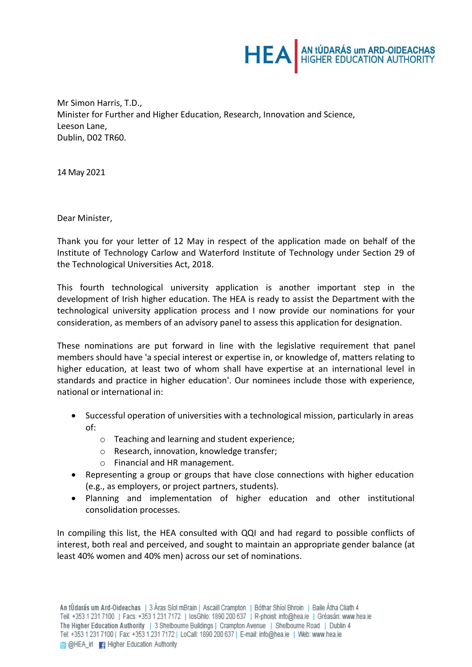

Mr Simon Harris, T.D., Minister for Further and Higher Education, Research, Innovation and Science, Leeson Lane, Dublin, D02 TR60.

14 May 2021

Dear Minister,

Thank you for your letter of 12 May in respect of the application made on behalf of the Institute of Technology Carlow and Waterford Institute of Technology under Section 29 of the Technological Universities Act, 2018.

This fourth technological university application is another important step in the development of Irish higher education. The HEA is ready to assist the Department with the technological university application process and I now provide our nominations for your consideration, as members of an advisory panel to assess this application for designation.

These nominations are put forward in line with the legislative requirement that panel members should have 'a special interest or expertise in, or knowledge of, matters relating to higher education, at least two of whom shall have expertise at an international level in standards and practice in higher education'. Our nominees include those with experience, national or international in:

- Successful operation of universities with a technological mission, particularly in areas of:
	- o Teaching and learning and student experience;
	- o Research, innovation, knowledge transfer;
	- o Financial and HR management.
- Representing a group or groups that have close connections with higher education (e.g., as employers, or project partners, students).
- Planning and implementation of higher education and other institutional consolidation processes.

In compiling this list, the HEA consulted with QQI and had regard to possible conflicts of interest, both real and perceived, and sought to maintain an appropriate gender balance (at least 40% women and 40% men) across our set of nominations.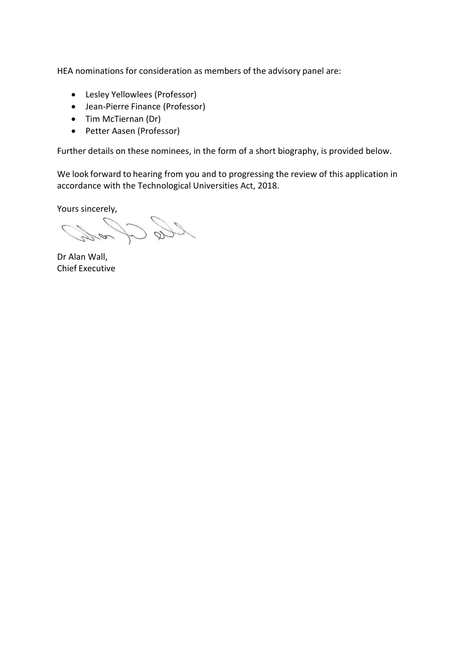HEA nominations for consideration as members of the advisory panel are:

- Lesley Yellowlees (Professor)
- Jean-Pierre Finance (Professor)
- Tim McTiernan (Dr)
- Petter Aasen (Professor)

Further details on these nominees, in the form of a short biography, is provided below.

We look forward to hearing from you and to progressing the review of this application in accordance with the Technological Universities Act, 2018.

Yours sincerely,

Dr Alan Wall, Chief Executive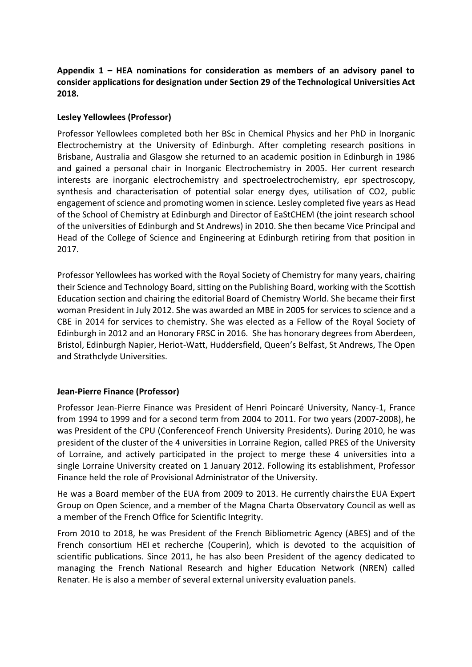# **Appendix 1 – HEA nominations for consideration as members of an advisory panel to consider applications for designation under Section 29 of the Technological Universities Act 2018.**

## **Lesley Yellowlees (Professor)**

Professor Yellowlees completed both her BSc in Chemical Physics and her PhD in Inorganic Electrochemistry at the University of Edinburgh. After completing research positions in Brisbane, Australia and Glasgow she returned to an academic position in Edinburgh in 1986 and gained a personal chair in Inorganic Electrochemistry in 2005. Her current research interests are inorganic electrochemistry and spectroelectrochemistry, epr spectroscopy, synthesis and characterisation of potential solar energy dyes, utilisation of CO2, public engagement of science and promoting women in science. Lesley completed five years as Head of the School of Chemistry at Edinburgh and Director of EaStCHEM (the joint research school of the universities of Edinburgh and St Andrews) in 2010. She then became Vice Principal and Head of the College of Science and Engineering at Edinburgh retiring from that position in 2017.

Professor Yellowlees has worked with the Royal Society of Chemistry for many years, chairing their Science and Technology Board, sitting on the Publishing Board, working with the Scottish Education section and chairing the editorial Board of Chemistry World. She became their first woman President in July 2012. She was awarded an MBE in 2005 for services to science and a CBE in 2014 for services to chemistry. She was elected as a Fellow of the Royal Society of Edinburgh in 2012 and an Honorary FRSC in 2016. She has honorary degrees from Aberdeen, Bristol, Edinburgh Napier, Heriot-Watt, Huddersfield, Queen's Belfast, St Andrews, The Open and Strathclyde Universities.

## **Jean-Pierre Finance (Professor)**

Professor Jean-Pierre Finance was President of Henri Poincaré University, Nancy-1, France from 1994 to 1999 and for a second term from 2004 to 2011. For two years (2007-2008), he was President of the CPU (Conferenceof French University Presidents). During 2010, he was president of the cluster of the 4 universities in Lorraine Region, called PRES of the University of Lorraine, and actively participated in the project to merge these 4 universities into a single Lorraine University created on 1 January 2012. Following its establishment, Professor Finance held the role of Provisional Administrator of the University.

He was a Board member of the EUA from 2009 to 2013. He currently chairsthe EUA Expert Group on Open Science, and a member of the Magna Charta Observatory Council as well as a member of the French Office for Scientific Integrity.

From 2010 to 2018, he was President of the French Bibliometric Agency (ABES) and of the French consortium HEI et recherche (Couperin), which is devoted to the acquisition of scientific publications. Since 2011, he has also been President of the agency dedicated to managing the French National Research and higher Education Network (NREN) called Renater. He is also a member of several external university evaluation panels.